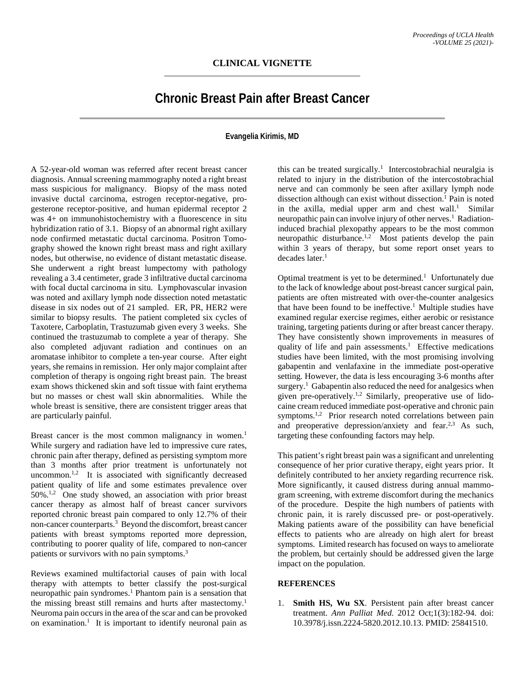## **Chronic Breast Pain after Breast Cancer**

## **Evangelia Kirimis, MD**

A 52-year-old woman was referred after recent breast cancer diagnosis. Annual screening mammography noted a right breast mass suspicious for malignancy. Biopsy of the mass noted invasive ductal carcinoma, estrogen receptor-negative, progesterone receptor-positive, and human epidermal receptor 2 was 4+ on immunohistochemistry with a fluorescence in situ hybridization ratio of 3.1. Biopsy of an abnormal right axillary node confirmed metastatic ductal carcinoma. Positron Tomography showed the known right breast mass and right axillary nodes, but otherwise, no evidence of distant metastatic disease. She underwent a right breast lumpectomy with pathology revealing a 3.4 centimeter, grade 3 infiltrative ductal carcinoma with focal ductal carcinoma in situ. Lymphovascular invasion was noted and axillary lymph node dissection noted metastatic disease in six nodes out of 21 sampled. ER, PR, HER2 were similar to biopsy results. The patient completed six cycles of Taxotere, Carboplatin, Trastuzumab given every 3 weeks. She continued the trastuzumab to complete a year of therapy. She also completed adjuvant radiation and continues on an aromatase inhibitor to complete a ten-year course. After eight years, she remains in remission. Her only major complaint after completion of therapy is ongoing right breast pain. The breast exam shows thickened skin and soft tissue with faint erythema but no masses or chest wall skin abnormalities. While the whole breast is sensitive, there are consistent trigger areas that are particularly painful.

Breast cancer is the most common malignancy in women.<sup>1</sup> While surgery and radiation have led to impressive cure rates, chronic pain after therapy, defined as persisting symptom more than 3 months after prior treatment is unfortunately not uncommon. $1,2$  It is associated with significantly decreased patient quality of life and some estimates prevalence over 50%.<sup>1,2</sup> One study showed, an association with prior breast cancer therapy as almost half of breast cancer survivors reported chronic breast pain compared to only 12.7% of their non-cancer counterparts.<sup>3</sup> Beyond the discomfort, breast cancer patients with breast symptoms reported more depression, contributing to poorer quality of life, compared to non-cancer patients or survivors with no pain symptoms.<sup>3</sup>

Reviews examined multifactorial causes of pain with local therapy with attempts to better classify the post-surgical neuropathic pain syndromes.1 Phantom pain is a sensation that the missing breast still remains and hurts after mastectomy. 1 Neuroma pain occurs in the area of the scar and can be provoked on examination. 1 It is important to identify neuronal pain as

this can be treated surgically.<sup>1</sup> Intercostobrachial neuralgia is related to injury in the distribution of the intercostobrachial nerve and can commonly be seen after axillary lymph node dissection although can exist without dissection. <sup>1</sup> Pain is noted in the axilla, medial upper arm and chest wall.<sup>1</sup> Similar neuropathic pain can involve injury of other nerves.<sup>1</sup> Radiationinduced brachial plexopathy appears to be the most common neuropathic disturbance.<sup>1,2</sup> Most patients develop the pain within 3 years of therapy, but some report onset years to decades later.<sup>1</sup>

Optimal treatment is yet to be determined.<sup>1</sup> Unfortunately due to the lack of knowledge about post-breast cancer surgical pain, patients are often mistreated with over-the-counter analgesics that have been found to be ineffective.<sup>1</sup> Multiple studies have examined regular exercise regimes, either aerobic or resistance training, targeting patients during or after breast cancer therapy. They have consistently shown improvements in measures of quality of life and pain assessments.<sup>1</sup> Effective medications studies have been limited, with the most promising involving gabapentin and venlafaxine in the immediate post-operative setting. However, the data is less encouraging 3-6 months after surgery.<sup>1</sup> Gabapentin also reduced the need for analgesics when given pre-operatively.1,2 Similarly, preoperative use of lidocaine cream reduced immediate post-operative and chronic pain symptoms.<sup>1,2</sup> Prior research noted correlations between pain and preoperative depression/anxiety and fear.<sup>2,3</sup> As such, targeting these confounding factors may help.

This patient's right breast pain was a significant and unrelenting consequence of her prior curative therapy, eight years prior. It definitely contributed to her anxiety regarding recurrence risk. More significantly, it caused distress during annual mammogram screening, with extreme discomfort during the mechanics of the procedure. Despite the high numbers of patients with chronic pain, it is rarely discussed pre- or post-operatively. Making patients aware of the possibility can have beneficial effects to patients who are already on high alert for breast symptoms. Limited research has focused on ways to ameliorate the problem, but certainly should be addressed given the large impact on the population.

## **REFERENCES**

1. **Smith HS, Wu SX**. Persistent pain after breast cancer treatment. *Ann Palliat Med*. 2012 Oct;1(3):182-94. doi: 10.3978/j.issn.2224-5820.2012.10.13. PMID: 25841510.